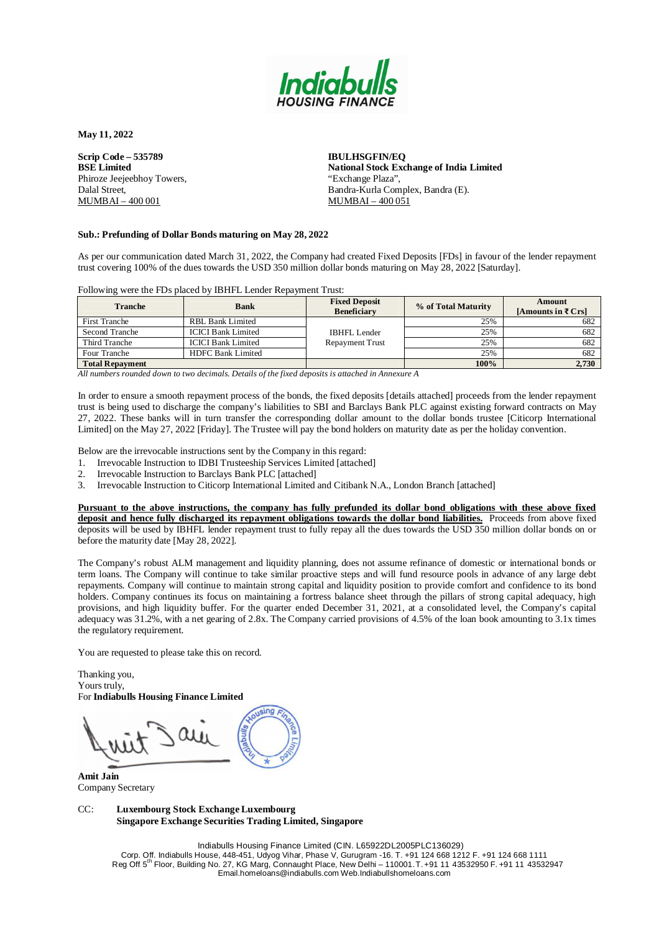

**Scrip Code – 535789 BSE Limited** Phiroze Jeejeebhoy Towers, Dalal Street, MUMBAI – 400 001

**IBULHSGFIN/EQ National Stock Exchange of India Limited** "Exchange Plaza", Bandra-Kurla Complex, Bandra (E). MUMBAI – 400 051

#### **Sub.: Prefunding of Dollar Bonds maturing on May 28, 2022**

As per our communication dated March 31, 2022, the Company had created Fixed Deposits [FDs] in favour of the lender repayment trust covering 100% of the dues towards the USD 350 million dollar bonds maturing on May 28, 2022 [Saturday].

Following were the FDs placed by IBHFL Lender Repayment Trust:

| <b>Tranche</b>         | <b>Bank</b>               | <b>Fixed Deposit</b><br><b>Beneficiary</b> | % of Total Maturity | Amount<br>[Amounts in ₹ $Crs$ ] |
|------------------------|---------------------------|--------------------------------------------|---------------------|---------------------------------|
| <b>First Tranche</b>   | RBL Bank Limited          |                                            | 25%                 | 682                             |
| Second Tranche         | <b>ICICI Bank Limited</b> | <b>IBHFL Lender</b>                        | 25%                 | 682                             |
| Third Tranche          | <b>ICICI Bank Limited</b> | <b>Repayment Trust</b>                     | 25%                 | 682                             |
| Four Tranche           | <b>HDFC Bank Limited</b>  |                                            | 25%                 | 682                             |
| <b>Total Repayment</b> |                           |                                            | 100%                | 2,730                           |

*All numbers rounded down to two decimals. Details of the fixed deposits is attached in Annexure A*

In order to ensure a smooth repayment process of the bonds, the fixed deposits [details attached] proceeds from the lender repayment trust is being used to discharge the company's liabilities to SBI and Barclays Bank PLC against existing forward contracts on May 27, 2022. These banks will in turn transfer the corresponding dollar amount to the dollar bonds trustee [Citicorp International Limited] on the May 27, 2022 [Friday]. The Trustee will pay the bond holders on maturity date as per the holiday convention.

Below are the irrevocable instructions sent by the Company in this regard:

1. Irrevocable Instruction to IDBI Trusteeship Services Limited [attached]

2. Irrevocable Instruction to Barclays Bank PLC [attached]

3. Irrevocable Instruction to Citicorp International Limited and Citibank N.A., London Branch [attached]

**Pursuant to the above instructions, the company has fully prefunded its dollar bond obligations with these above fixed deposit and hence fully discharged its repayment obligations towards the dollar bond liabilities.** Proceeds from above fixed deposits will be used by IBHFL lender repayment trust to fully repay all the dues towards the USD 350 million dollar bonds on or before the maturity date [May 28, 2022].

The Company's robust ALM management and liquidity planning, does not assume refinance of domestic or international bonds or term loans. The Company will continue to take similar proactive steps and will fund resource pools in advance of any large debt repayments. Company will continue to maintain strong capital and liquidity position to provide comfort and confidence to its bond holders. Company continues its focus on maintaining a fortress balance sheet through the pillars of strong capital adequacy, high provisions, and high liquidity buffer. For the quarter ended December 31, 2021, at a consolidated level, the Company's capital adequacy was 31.2%, with a net gearing of 2.8x. The Company carried provisions of 4.5% of the loan book amounting to 3.1x times the regulatory requirement.

You are requested to please take this on record.

Thanking you, Yours truly, For **Indiabulls Housing Finance Limited**

**Amit Jain** Company Secretary

#### CC: **Luxembourg Stock Exchange Luxembourg Singapore Exchange Securities Trading Limited, Singapore**

Indiabulls Housing Finance Limited (CIN. L65922DL2005PLC136029) Corp. Off. Indiabulls House, 448-451, Udyog Vihar, Phase V, Gurugram -16. T. +91 124 668 1212 F. +91 124 668 1111 Reg. Off. 5 th Floor, Building No. 27, KG Marg, Connaught Place, New Delhi – 110001.T.+91 11 43532950 F. +91 11 43532947 [Email.homeloans@indiabulls.com](mailto:Email.homeloans@indiabulls.com) Web.Indiabullshomeloans.com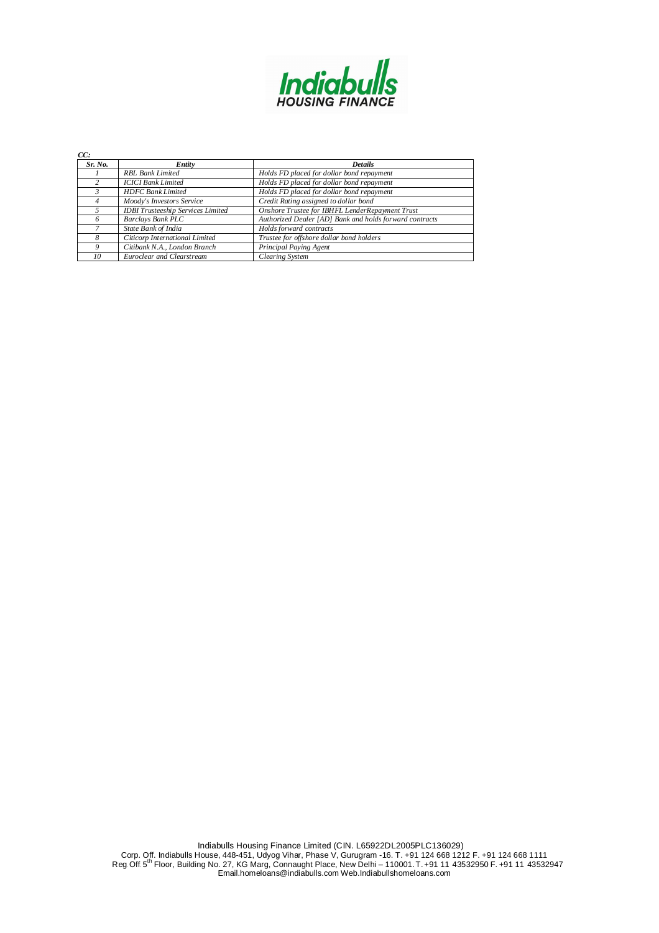

| CC:     |                                          |                                                         |
|---------|------------------------------------------|---------------------------------------------------------|
| Sr. No. | Entity                                   | <b>Details</b>                                          |
|         | <b>RBL Bank Limited</b>                  | Holds FD placed for dollar bond repayment               |
|         | <b>ICICI Bank Limited</b>                | Holds FD placed for dollar bond repayment               |
|         | <b>HDFC</b> Bank Limited                 | Holds FD placed for dollar bond repayment               |
|         | Moody's Investors Service                | Credit Rating assigned to dollar bond                   |
|         | <b>IDBI</b> Trusteeship Services Limited | Onshore Trustee for IBHFL LenderRepayment Trust         |
| n       | <b>Barclays Bank PLC</b>                 | Authorized Dealer [AD] Bank and holds forward contracts |
|         | State Bank of India                      | Holds forward contracts                                 |
| 8       | Citicorp International Limited           | Trustee for offshore dollar bond holders                |
| 9       | Citibank N.A., London Branch             | Principal Paying Agent                                  |
| 10      | Euroclear and Clearstream                | Clearing System                                         |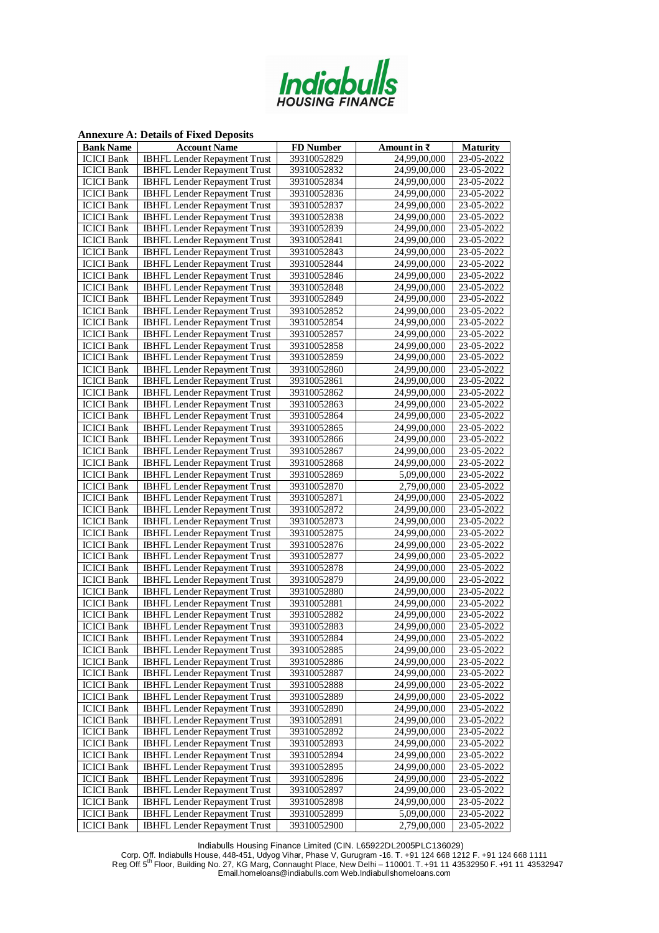

**Annexure A: Details of Fixed Deposits**

| <b>Bank Name</b>  | <b>Account Name</b>                 | <b>FD</b> Number | Amount in $\bar{\tau}$    | <b>Maturity</b> |
|-------------------|-------------------------------------|------------------|---------------------------|-----------------|
| <b>ICICI</b> Bank | <b>IBHFL Lender Repayment Trust</b> | 39310052829      | 24,99,00,000              | 23-05-2022      |
| <b>ICICI</b> Bank | <b>IBHFL Lender Repayment Trust</b> | 39310052832      | 24,99,00,000              | 23-05-2022      |
| <b>ICICI</b> Bank | <b>IBHFL Lender Repayment Trust</b> | 39310052834      | 24,99,00,000              | 23-05-2022      |
| <b>ICICI</b> Bank | <b>IBHFL Lender Repayment Trust</b> | 39310052836      | 24,99,00,000              | 23-05-2022      |
| <b>ICICI</b> Bank | <b>IBHFL Lender Repayment Trust</b> | 39310052837      | 24,99,00,000              | 23-05-2022      |
| <b>ICICI</b> Bank | <b>IBHFL Lender Repayment Trust</b> | 39310052838      | 24,99,00,000              | 23-05-2022      |
| <b>ICICI</b> Bank | <b>IBHFL Lender Repayment Trust</b> | 39310052839      | 24,99,00,000              | 23-05-2022      |
| <b>ICICI</b> Bank | <b>IBHFL Lender Repayment Trust</b> | 39310052841      | 24,99,00,000              | 23-05-2022      |
| <b>ICICI</b> Bank | <b>IBHFL Lender Repayment Trust</b> | 39310052843      | 24,99,00,000              | 23-05-2022      |
| <b>ICICI</b> Bank | <b>IBHFL Lender Repayment Trust</b> | 39310052844      | 24,99,00,000              | 23-05-2022      |
| <b>ICICI</b> Bank | <b>IBHFL Lender Repayment Trust</b> | 39310052846      | $\overline{24,99,00,000}$ | 23-05-2022      |
| <b>ICICI</b> Bank | <b>IBHFL Lender Repayment Trust</b> | 39310052848      | 24,99,00,000              | 23-05-2022      |
| <b>ICICI</b> Bank | <b>IBHFL Lender Repayment Trust</b> | 39310052849      | 24,99,00,000              | 23-05-2022      |
| <b>ICICI</b> Bank | <b>IBHFL Lender Repayment Trust</b> | 39310052852      | 24,99,00,000              | 23-05-2022      |
| <b>ICICI</b> Bank | <b>IBHFL Lender Repayment Trust</b> | 39310052854      | 24,99,00,000              | 23-05-2022      |
| <b>ICICI</b> Bank | <b>IBHFL Lender Repayment Trust</b> | 39310052857      | 24,99,00,000              | 23-05-2022      |
| <b>ICICI</b> Bank | <b>IBHFL Lender Repayment Trust</b> | 39310052858      | 24,99,00,000              | 23-05-2022      |
| <b>ICICI</b> Bank | <b>IBHFL Lender Repayment Trust</b> | 39310052859      | 24,99,00,000              | 23-05-2022      |
| <b>ICICI</b> Bank | <b>IBHFL Lender Repayment Trust</b> | 39310052860      | 24,99,00,000              | 23-05-2022      |
| <b>ICICI</b> Bank | <b>IBHFL Lender Repayment Trust</b> | 39310052861      | 24,99,00,000              | 23-05-2022      |
| <b>ICICI</b> Bank | <b>IBHFL Lender Repayment Trust</b> | 39310052862      | 24,99,00,000              | 23-05-2022      |
| <b>ICICI</b> Bank | <b>IBHFL Lender Repayment Trust</b> | 39310052863      | 24,99,00,000              | 23-05-2022      |
| <b>ICICI</b> Bank | <b>IBHFL Lender Repayment Trust</b> | 39310052864      | 24,99,00,000              | 23-05-2022      |
| <b>ICICI</b> Bank | <b>IBHFL Lender Repayment Trust</b> | 39310052865      | 24,99,00,000              | 23-05-2022      |
| <b>ICICI</b> Bank | <b>IBHFL Lender Repayment Trust</b> | 39310052866      | 24,99,00,000              | 23-05-2022      |
| <b>ICICI</b> Bank | <b>IBHFL Lender Repayment Trust</b> | 39310052867      | 24,99,00,000              | 23-05-2022      |
| <b>ICICI</b> Bank | <b>IBHFL Lender Repayment Trust</b> | 39310052868      | 24,99,00,000              | 23-05-2022      |
| <b>ICICI</b> Bank | <b>IBHFL Lender Repayment Trust</b> | 39310052869      | 5,09,00,000               | 23-05-2022      |
| <b>ICICI</b> Bank | <b>IBHFL Lender Repayment Trust</b> | 39310052870      | 2,79,00,000               | 23-05-2022      |
| <b>ICICI</b> Bank | <b>IBHFL Lender Repayment Trust</b> | 39310052871      | $\overline{24,99,00,000}$ | 23-05-2022      |
| <b>ICICI</b> Bank | <b>IBHFL Lender Repayment Trust</b> | 39310052872      | 24,99,00,000              | 23-05-2022      |
| <b>ICICI</b> Bank | <b>IBHFL Lender Repayment Trust</b> | 39310052873      | $\overline{24,99,00,000}$ | 23-05-2022      |
| <b>ICICI</b> Bank | <b>IBHFL Lender Repayment Trust</b> | 39310052875      | 24,99,00,000              | 23-05-2022      |
| <b>ICICI</b> Bank | <b>IBHFL Lender Repayment Trust</b> | 39310052876      | 24,99,00,000              | 23-05-2022      |
| <b>ICICI</b> Bank | <b>IBHFL Lender Repayment Trust</b> | 39310052877      | 24,99,00,000              | 23-05-2022      |
| <b>ICICI</b> Bank | <b>IBHFL Lender Repayment Trust</b> | 39310052878      | 24,99,00,000              | 23-05-2022      |
| <b>ICICI</b> Bank | <b>IBHFL Lender Repayment Trust</b> | 39310052879      | 24,99,00,000              | 23-05-2022      |
| <b>ICICI</b> Bank | <b>IBHFL Lender Repayment Trust</b> | 39310052880      | 24,99,00,000              | 23-05-2022      |
| <b>ICICI</b> Bank | <b>IBHFL Lender Repayment Trust</b> | 39310052881      | 24,99,00,000              | 23-05-2022      |
| <b>ICICI</b> Bank | <b>IBHFL Lender Repayment Trust</b> | 39310052882      | 24,99,00,000              | 23-05-2022      |
| <b>ICICI</b> Bank | <b>IBHFL Lender Repayment Trust</b> | 39310052883      | 24,99,00,000              | 23-05-2022      |
| <b>ICICI Bank</b> | IBHFL Lender Repayment Trust        | 39310052884      | 24,99,00,000              | 23-05-2022      |
| <b>ICICI</b> Bank | <b>IBHFL Lender Repayment Trust</b> | 39310052885      | 24,99,00,000              | 23-05-2022      |
| <b>ICICI</b> Bank | <b>IBHFL Lender Repayment Trust</b> | 39310052886      | 24,99,00,000              | 23-05-2022      |
| <b>ICICI</b> Bank | <b>IBHFL Lender Repayment Trust</b> | 39310052887      | 24,99,00,000              | 23-05-2022      |
| <b>ICICI</b> Bank | <b>IBHFL Lender Repayment Trust</b> | 39310052888      | 24,99,00,000              | 23-05-2022      |
| <b>ICICI</b> Bank | <b>IBHFL Lender Repayment Trust</b> | 39310052889      | 24,99,00,000              | 23-05-2022      |
| <b>ICICI</b> Bank | <b>IBHFL Lender Repayment Trust</b> | 39310052890      | 24,99,00,000              | 23-05-2022      |
| <b>ICICI</b> Bank | <b>IBHFL Lender Repayment Trust</b> | 39310052891      | 24,99,00,000              | 23-05-2022      |
| <b>ICICI</b> Bank | <b>IBHFL Lender Repayment Trust</b> | 39310052892      | 24,99,00,000              | 23-05-2022      |
| <b>ICICI</b> Bank | <b>IBHFL Lender Repayment Trust</b> | 39310052893      | 24,99,00,000              | 23-05-2022      |
| <b>ICICI</b> Bank | <b>IBHFL Lender Repayment Trust</b> | 39310052894      | 24,99,00,000              | 23-05-2022      |
| <b>ICICI</b> Bank | <b>IBHFL Lender Repayment Trust</b> | 39310052895      | 24,99,00,000              | 23-05-2022      |
| <b>ICICI</b> Bank | <b>IBHFL Lender Repayment Trust</b> | 39310052896      | 24,99,00,000              | 23-05-2022      |
| <b>ICICI</b> Bank | <b>IBHFL Lender Repayment Trust</b> | 39310052897      | 24,99,00,000              | 23-05-2022      |
| <b>ICICI</b> Bank | <b>IBHFL Lender Repayment Trust</b> | 39310052898      | 24,99,00,000              | 23-05-2022      |
| <b>ICICI</b> Bank | <b>IBHFL Lender Repayment Trust</b> | 39310052899      | 5,09,00,000               | 23-05-2022      |
| <b>ICICI</b> Bank | <b>IBHFL Lender Repayment Trust</b> | 39310052900      | 2,79,00,000               | 23-05-2022      |

Indiabulls Housing Finance Limited (CIN. L65922DL2005PLC136029)

Corp. Off. Indiabulls House, 448-451, Udyog Vihar, Phase V, Gurugram -16. T. +91 124 668 1212 F. +91 124 668 1111 Reg. Off. 5 th Floor, Building No. 27, KG Marg, Connaught Place, New Delhi – 110001.T.+91 11 43532950 F. +91 11 43532947 [Email.homeloans@indiabulls.com](mailto:Email.homeloans@indiabulls.com) Web.Indiabullshomeloans.com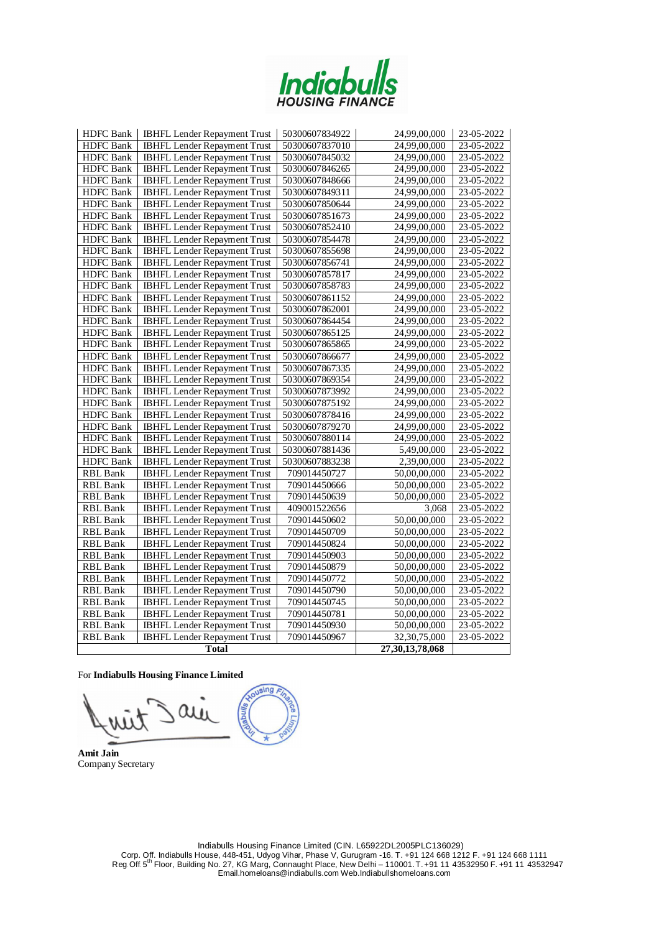

| <b>HDFC</b> Bank | <b>IBHFL Lender Repayment Trust</b> | 50300607834922 | 24,99,00,000              | 23-05-2022 |
|------------------|-------------------------------------|----------------|---------------------------|------------|
| <b>HDFC</b> Bank | <b>IBHFL Lender Repayment Trust</b> | 50300607837010 | $\overline{24,99,00,000}$ | 23-05-2022 |
| <b>HDFC</b> Bank | <b>IBHFL Lender Repayment Trust</b> | 50300607845032 | 24,99,00,000              | 23-05-2022 |
| <b>HDFC</b> Bank | <b>IBHFL Lender Repayment Trust</b> | 50300607846265 | 24,99,00,000              | 23-05-2022 |
| <b>HDFC</b> Bank | <b>IBHFL Lender Repayment Trust</b> | 50300607848666 | 24,99,00,000              | 23-05-2022 |
| <b>HDFC</b> Bank | <b>IBHFL Lender Repayment Trust</b> | 50300607849311 | 24,99,00,000              | 23-05-2022 |
| <b>HDFC</b> Bank | <b>IBHFL</b> Lender Repayment Trust | 50300607850644 | 24,99,00,000              | 23-05-2022 |
| <b>HDFC</b> Bank | <b>IBHFL Lender Repayment Trust</b> | 50300607851673 | 24,99,00,000              | 23-05-2022 |
| <b>HDFC</b> Bank | <b>IBHFL Lender Repayment Trust</b> | 50300607852410 | 24,99,00,000              | 23-05-2022 |
| <b>HDFC</b> Bank | <b>IBHFL Lender Repayment Trust</b> | 50300607854478 | 24,99,00,000              | 23-05-2022 |
| <b>HDFC</b> Bank | <b>IBHFL Lender Repayment Trust</b> | 50300607855698 | 24,99,00,000              | 23-05-2022 |
| <b>HDFC</b> Bank | <b>IBHFL Lender Repayment Trust</b> | 50300607856741 | 24,99,00,000              | 23-05-2022 |
| <b>HDFC</b> Bank | <b>IBHFL Lender Repayment Trust</b> | 50300607857817 | 24,99,00,000              | 23-05-2022 |
| <b>HDFC</b> Bank | <b>IBHFL Lender Repayment Trust</b> | 50300607858783 | 24,99,00,000              | 23-05-2022 |
| <b>HDFC</b> Bank | <b>IBHFL Lender Repayment Trust</b> | 50300607861152 | 24,99,00,000              | 23-05-2022 |
| <b>HDFC</b> Bank | <b>IBHFL</b> Lender Repayment Trust | 50300607862001 | 24,99,00,000              | 23-05-2022 |
| <b>HDFC</b> Bank | <b>IBHFL Lender Repayment Trust</b> | 50300607864454 | 24,99,00,000              | 23-05-2022 |
| HDFC Bank        | <b>IBHFL Lender Repayment Trust</b> | 50300607865125 | 24,99,00,000              | 23-05-2022 |
| <b>HDFC</b> Bank | IBHFL Lender Repayment Trust        | 50300607865865 | 24,99,00,000              | 23-05-2022 |
| <b>HDFC</b> Bank | <b>IBHFL Lender Repayment Trust</b> | 50300607866677 | 24,99,00,000              | 23-05-2022 |
| <b>HDFC</b> Bank | <b>IBHFL Lender Repayment Trust</b> | 50300607867335 | 24,99,00,000              | 23-05-2022 |
| <b>HDFC</b> Bank | <b>IBHFL Lender Repayment Trust</b> | 50300607869354 | $\overline{24,99,00,000}$ | 23-05-2022 |
| <b>HDFC</b> Bank | <b>IBHFL Lender Repayment Trust</b> | 50300607873992 | 24,99,00,000              | 23-05-2022 |
| <b>HDFC</b> Bank | <b>IBHFL Lender Repayment Trust</b> | 50300607875192 | 24,99,00,000              | 23-05-2022 |
| <b>HDFC</b> Bank | <b>IBHFL Lender Repayment Trust</b> | 50300607878416 | 24,99,00,000              | 23-05-2022 |
| <b>HDFC</b> Bank | <b>IBHFL Lender Repayment Trust</b> | 50300607879270 | 24,99,00,000              | 23-05-2022 |
| <b>HDFC</b> Bank | <b>IBHFL Lender Repayment Trust</b> | 50300607880114 | 24,99,00,000              | 23-05-2022 |
| <b>HDFC</b> Bank | <b>IBHFL Lender Repayment Trust</b> | 50300607881436 | 5,49,00,000               | 23-05-2022 |
| <b>HDFC</b> Bank | <b>IBHFL Lender Repayment Trust</b> | 50300607883238 | 2,39,00,000               | 23-05-2022 |
| RBL Bank         | <b>IBHFL Lender Repayment Trust</b> | 709014450727   | 50,00,00,000              | 23-05-2022 |
| <b>RBL</b> Bank  | <b>IBHFL Lender Repayment Trust</b> | 709014450666   | 50,00,00,000              | 23-05-2022 |
| RBL Bank         | <b>IBHFL Lender Repayment Trust</b> | 709014450639   | 50,00,00,000              | 23-05-2022 |
| RBL Bank         | <b>IBHFL Lender Repayment Trust</b> | 409001522656   | 3,068                     | 23-05-2022 |
| RBL Bank         | <b>IBHFL Lender Repayment Trust</b> | 709014450602   | 50,00,00,000              | 23-05-2022 |
| RBL Bank         | <b>IBHFL Lender Repayment Trust</b> | 709014450709   | 50,00,00,000              | 23-05-2022 |
| RBL Bank         | <b>IBHFL Lender Repayment Trust</b> | 709014450824   | 50,00,00,000              | 23-05-2022 |
| RBL Bank         | <b>IBHFL Lender Repayment Trust</b> | 709014450903   | 50,00,00,000              | 23-05-2022 |
| RBL Bank         | <b>IBHFL Lender Repayment Trust</b> | 709014450879   | 50,00,00,000              | 23-05-2022 |
| RBL Bank         | <b>IBHFL Lender Repayment Trust</b> | 709014450772   | 50,00,00,000              | 23-05-2022 |
| RBL Bank         | <b>IBHFL Lender Repayment Trust</b> | 709014450790   | 50,00,00,000              | 23-05-2022 |
| RBL Bank         | <b>IBHFL Lender Repayment Trust</b> | 709014450745   | 50,00,00,000              | 23-05-2022 |
| <b>RBL</b> Bank  | <b>IBHFL Lender Repayment Trust</b> | 709014450781   | 50,00,00,000              | 23-05-2022 |
| RBL Bank         | <b>IBHFL Lender Repayment Trust</b> | 709014450930   | 50,00,00,000              | 23-05-2022 |
| <b>RBL Bank</b>  | <b>IBHFL Lender Repayment Trust</b> | 709014450967   | 32,30,75,000              | 23-05-2022 |
|                  | <b>Total</b>                        |                | 27,30,13,78,068           |            |

## For **Indiabulls Housing Finance Limited**

sing au

**Amit Jain** Company Secretary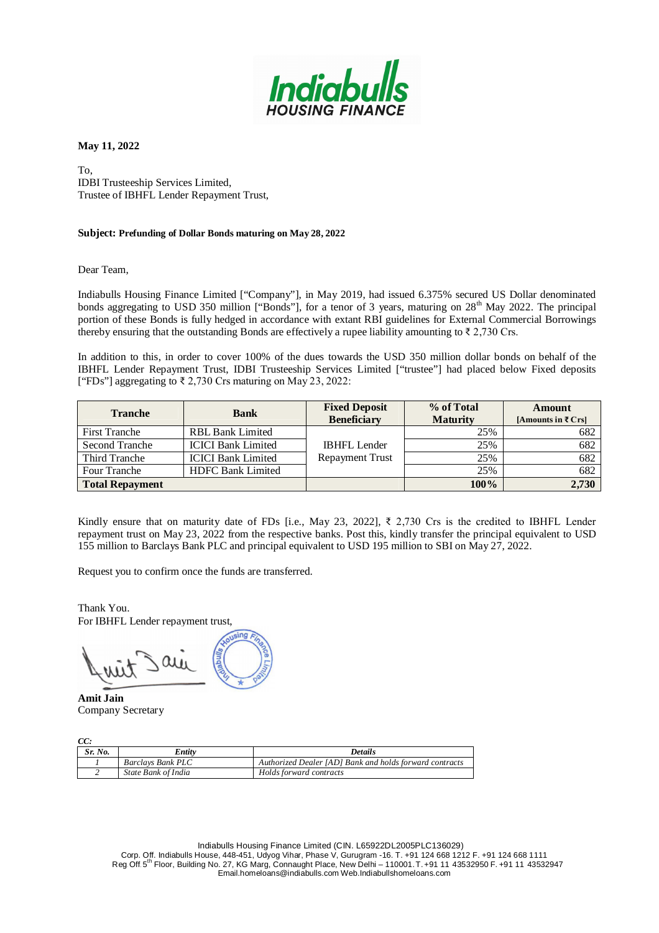

To, IDBI Trusteeship Services Limited, Trustee of IBHFL Lender Repayment Trust,

## **Subject: Prefunding of Dollar Bonds maturing on May 28, 2022**

Dear Team,

Indiabulls Housing Finance Limited ["Company"], in May 2019, had issued 6.375% secured US Dollar denominated bonds aggregating to USD 350 million ["Bonds"], for a tenor of 3 years, maturing on 28<sup>th</sup> May 2022. The principal portion of these Bonds is fully hedged in accordance with extant RBI guidelines for External Commercial Borrowings thereby ensuring that the outstanding Bonds are effectively a rupee liability amounting to  $\bar{\tau}$  2,730 Crs.

In addition to this, in order to cover 100% of the dues towards the USD 350 million dollar bonds on behalf of the IBHFL Lender Repayment Trust, IDBI Trusteeship Services Limited ["trustee"] had placed below Fixed deposits ["FDs"] aggregating to ₹ 2,730 Crs maturing on May 23, 2022:

| <b>Tranche</b>         | <b>Bank</b>               | <b>Fixed Deposit</b><br><b>Beneficiary</b> | % of Total<br><b>Maturity</b> | Amount<br>[Amounts in ₹ $Crs$ ] |
|------------------------|---------------------------|--------------------------------------------|-------------------------------|---------------------------------|
| <b>First Tranche</b>   | <b>RBL Bank Limited</b>   |                                            | 25%                           | 682                             |
| <b>Second Tranche</b>  | <b>ICICI Bank Limited</b> | <b>IBHFL Lender</b>                        | 25%                           | 682                             |
| Third Tranche          | <b>ICICI Bank Limited</b> | <b>Repayment Trust</b>                     | 25%                           | 682                             |
| Four Tranche           | <b>HDFC Bank Limited</b>  |                                            | 25%                           | 682                             |
| <b>Total Repayment</b> |                           |                                            | 100%                          | 2,730                           |

Kindly ensure that on maturity date of FDs [i.e., May 23, 2022],  $\bar{\xi}$  2,730 Crs is the credited to IBHFL Lender repayment trust on May 23, 2022 from the respective banks. Post this, kindly transfer the principal equivalent to USD 155 million to Barclays Bank PLC and principal equivalent to USD 195 million to SBI on May 27, 2022.

Request you to confirm once the funds are transferred.

Thank You. For IBHFL Lender repayment trust,

**Amit Jain** Company Secretary

 $C^{\prime}$ 

| UC:     |                          |                                                         |  |  |
|---------|--------------------------|---------------------------------------------------------|--|--|
| Sr. No. | Entity                   | <i>Details</i>                                          |  |  |
|         | <b>Barclays Bank PLC</b> | Authorized Dealer [AD] Bank and holds forward contracts |  |  |
|         | State Bank of India      | Holds forward contracts                                 |  |  |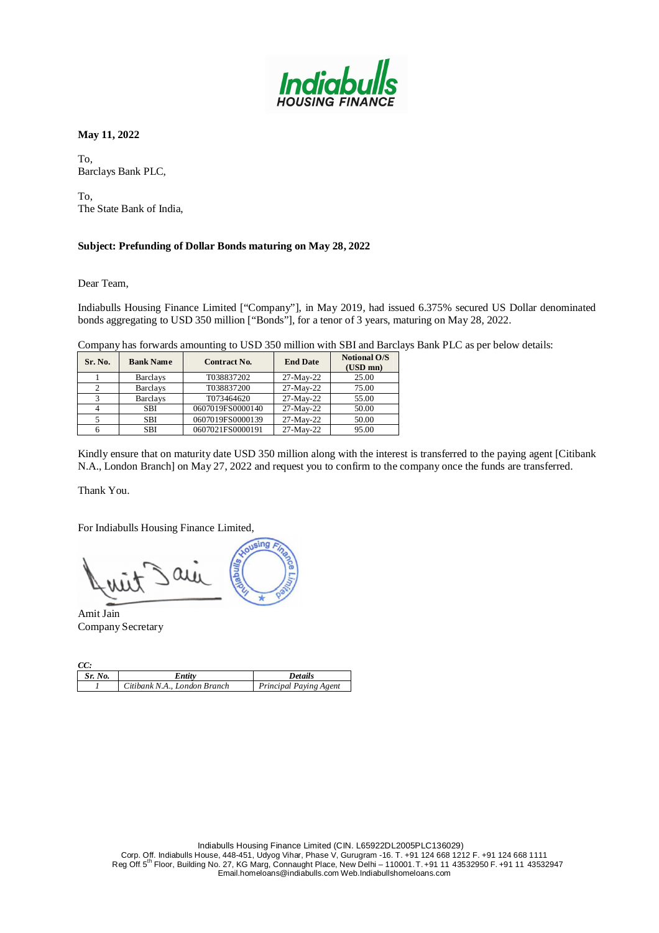

To, Barclays Bank PLC,

To, The State Bank of India,

# **Subject: Prefunding of Dollar Bonds maturing on May 28, 2022**

Dear Team,

Indiabulls Housing Finance Limited ["Company"], in May 2019, had issued 6.375% secured US Dollar denominated bonds aggregating to USD 350 million ["Bonds"], for a tenor of 3 years, maturing on May 28, 2022.

Company has forwards amounting to USD 350 million with SBI and Barclays Bank PLC as per below details:

| Sr. No. | <b>Bank Name</b> | <b>Contract No.</b> | <b>End Date</b> | <b>Notional O/S</b><br>$(USD \, mn)$ |
|---------|------------------|---------------------|-----------------|--------------------------------------|
|         | <b>Barclays</b>  | T038837202          | 27-May-22       | 25.00                                |
|         | <b>Barclays</b>  | T038837200          | 27-May-22       | 75.00                                |
|         | <b>Barclays</b>  | T073464620          | 27-May-22       | 55.00                                |
|         | SBI              | 0607019FS0000140    | 27-May-22       | 50.00                                |
|         | SBI              | 0607019FS0000139    | 27-May-22       | 50.00                                |
|         | SBI              | 0607021FS0000191    | 27-May-22       | 95.00                                |

Kindly ensure that on maturity date USD 350 million along with the interest is transferred to the paying agent [Citibank N.A., London Branch] on May 27, 2022 and request you to confirm to the company once the funds are transferred.

Thank You.

For Indiabulls Housing Finance Limited,

sing  $\omega$ 

Amit Jain Company Secretary

| CC:     |                              |                        |
|---------|------------------------------|------------------------|
| Sr. No. | Entity                       | <b>Details</b>         |
|         | Citibank N.A., London Branch | Principal Paying Agent |